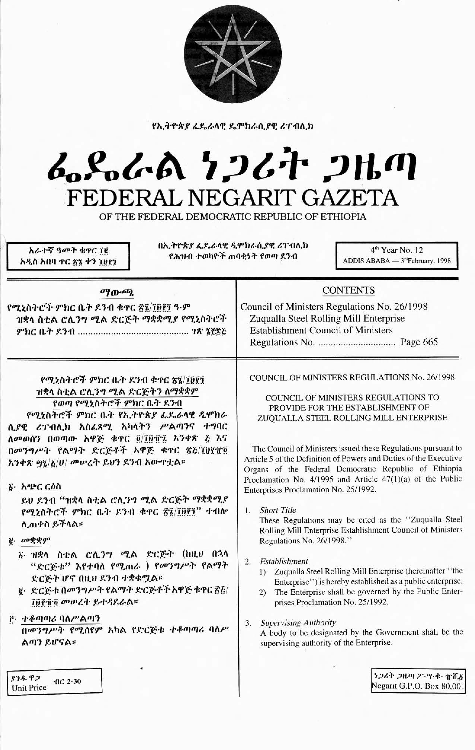

የኢትዮጵያ ፊዴራላዊ ዴሞክራሲያዊ ሪፐብሊክ

# んぺんめ ケンムヤ フルの FEDERAL NEGARIT GAZETA

OF THE FEDERAL DEMOCRATIC REPUBLIC OF ETHIOPIA

አራተኛ ዓመት ቁዋር ፲፪ አዲስ አበባ ዋር ፳፮ ቀን ፲፱፻፺ በኢትዮጵያ ፌዴራላዊ ዲሞክራሲያዊ ሪፐብሊክ የሕዝብ ተወካዮች ጠባቂነት የወጣ ደንብ

4<sup>th</sup> Year No. 12 ADDIS ABABA - 3rdFebruary, 1998

| ማውጫ<br>የሚኒስትሮች ምክር ቤት ደንብ ቁጥር ፳፯/፲፱፻፺ ዓ·ም<br>ዝቋላ ስቲል ሮሊንግ ሚል ድርጅት ማቋቋሚያ የሚኒስትሮች                                                                                                                                                                                                                                                                                                                                                                                                                                                                                                                                                                                | <b>CONTENTS</b><br>Council of Ministers Regulations No. 26/1998<br>Zuqualla Steel Rolling Mill Enterprise<br><b>Establishment Council of Ministers</b>                                                                                                                                                                                                                                                                                                                                                                                                                                                                                                                                                                                                                                                                                                                                                                                                                                                                                                |
|----------------------------------------------------------------------------------------------------------------------------------------------------------------------------------------------------------------------------------------------------------------------------------------------------------------------------------------------------------------------------------------------------------------------------------------------------------------------------------------------------------------------------------------------------------------------------------------------------------------------------------------------------------------|-------------------------------------------------------------------------------------------------------------------------------------------------------------------------------------------------------------------------------------------------------------------------------------------------------------------------------------------------------------------------------------------------------------------------------------------------------------------------------------------------------------------------------------------------------------------------------------------------------------------------------------------------------------------------------------------------------------------------------------------------------------------------------------------------------------------------------------------------------------------------------------------------------------------------------------------------------------------------------------------------------------------------------------------------------|
| የሚኒስትሮች ምክር ቤት ደንብ ቁጥር ፳፯/፲፱፻፺<br>ዝቋላ ስቲል ሮሊንግ ሚል ድርጅትን ለማቋቋም<br>የወጣ የሚኒስትሮች ምክር ቤት ደንብ<br>የሚኒስትሮች ምክር ቤት የኢትዮጵያ ፌዴራላዊ ዲሞክራ<br>ሲያዊ ሪፐብሊክ አስፈጻሚ አካላትን ሥልጣንና ተግባር<br>ለመወሰን በወጣው አዋጅ ቁዋር ፬/፲፱፹፯ አንቀጽ ፭ እና<br>በመንግሥት የልማት ድርጅቶች አዋጅ ቁጥር ፳፩/፲፱፻፹፬<br>አንቀጽ ፵፯/፩/ሀ/ መሥረት ይህን ደንብ አውዋቷል።<br>δ· አጭር ርዕስ<br>ይህ ደንብ "ዝቋላ ስቲል ሮሊንግ ሚል ድርጅት ማቋቋሚያ<br>የሚኒስትሮች ምክር ቤት ደንብ ቁዋር ፳፯/፲፱፻፺" ተብሎ<br>ሊጠቀስ ይችላል።<br><b><i>i</i></b> . መቋቋም<br>፩· ዝቋላ ስቲል ሮሊንግ ሚል ድርጅት (ከዚሀ በኋላ<br>"ድርጅቱ" እየተባለ የሚጠራ ) የመንግሥት የልማት<br>ድርጅት ሆኖ በዚህ ደንብ ተቋቁሟል።<br>፪· ድርጅቱ በመንግሥት የልማት ድርጅቶች አዋጅ ቁጥር ፳፭/<br>ገፀየቸ፬ መሠረት ይተዳደራል።<br><u>ቮ· ተቆጣጣሪ ባለሥልጣን</u><br>በመንግሥት የሚሰየም አካል የድርጅቱ ተቆጣጣሪ ባለሥ<br>ልጣን ይሆናል። | COUNCIL OF MINISTERS REGULATIONS No. 26/1998<br>COUNCIL OF MINISTERS REGULATIONS TO<br>PROVIDE FOR THE ESTABLISHMENT OF<br>ZUQUALLA STEEL ROLLING MILL ENTERPRISE<br>The Council of Ministers issued these Regulations pursuant to<br>Article 5 of the Definition of Powers and Duties of the Executive<br>Organs of the Federal Democratic Republic of Ethiopia<br>Proclamation No. 4/1995 and Article 47(1)(a) of the Public<br>Enterprises Proclamation No. 25/1992.<br><b>Short Title</b><br>1.<br>These Regulations may be cited as the "Zuqualla Steel"<br>Rolling Mill Enterprise Establishment Council of Ministers<br>Regulations No. 26/1998."<br>Establishment<br>2.<br>Zuqualla Steel Rolling Mill Enterprise (hereinafter "the<br>1)<br>Enterprise") is hereby established as a public enterprise.<br>The Enterprise shall be governed by the Public Enter-<br>(2)<br>prises Proclamation No. 25/1992.<br>3. Supervising Authority<br>A body to be designated by the Government shall be the<br>supervising authority of the Enterprise. |
| ያንዱ ዋጋ<br>$40C$ 2.30<br>Unit Price                                                                                                                                                                                                                                                                                                                                                                                                                                                                                                                                                                                                                             | ነጋሪት ጋዜጣ ፖ・ሣ・ቁ・ ፹ሺ፩<br>Negarit G.P.O. Box 80,001                                                                                                                                                                                                                                                                                                                                                                                                                                                                                                                                                                                                                                                                                                                                                                                                                                                                                                                                                                                                      |